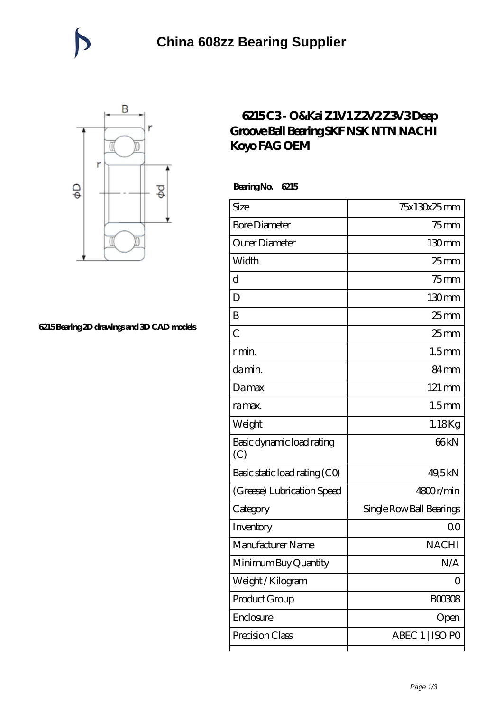

## **[6215 Bearing 2D drawings and 3D CAD models](https://catchios.com/pic-592287.html)**

## **[6215 C3 - O&Kai Z1V1 Z2V2 Z3V3 Deep](https://catchios.com/fag-c3-bearing/nachi-6215.html) [Groove Ball Bearing SKF NSK NTN NACHI](https://catchios.com/fag-c3-bearing/nachi-6215.html) [Koyo FAG OEM](https://catchios.com/fag-c3-bearing/nachi-6215.html)**

 **Bearing No. 6215**

| Size                             | 75x130x25mm              |
|----------------------------------|--------------------------|
| <b>Bore Diameter</b>             | $75$ mm                  |
| Outer Diameter                   | 130mm                    |
| Width                            | $25$ mm                  |
| d                                | $75$ mm                  |
| D                                | 130mm                    |
| B                                | 25 <sub>mm</sub>         |
| $\overline{C}$                   | $25$ mm                  |
| r min.                           | 1.5 <sub>mm</sub>        |
| da min.                          | 84 <sub>mm</sub>         |
| Damax.                           | 121 mm                   |
| ra max.                          | 1.5 <sub>mm</sub>        |
| Weight                           | 1.18Kg                   |
| Basic dynamic load rating<br>(C) | 66 <sub>kN</sub>         |
| Basic static load rating (CO)    | 49,5kN                   |
| (Grease) Lubrication Speed       | 4800r/min                |
| Category                         | Single Row Ball Bearings |
| Inventory                        | Q0                       |
| Manufacturer Name                | <b>NACHI</b>             |
| Minimum Buy Quantity             | N/A                      |
| Weight/Kilogram                  | 0                        |
| Product Group                    | BOO3O8                   |
| Enclosure                        | Open                     |
| Precision Class                  | ABEC 1   ISO PO          |
|                                  |                          |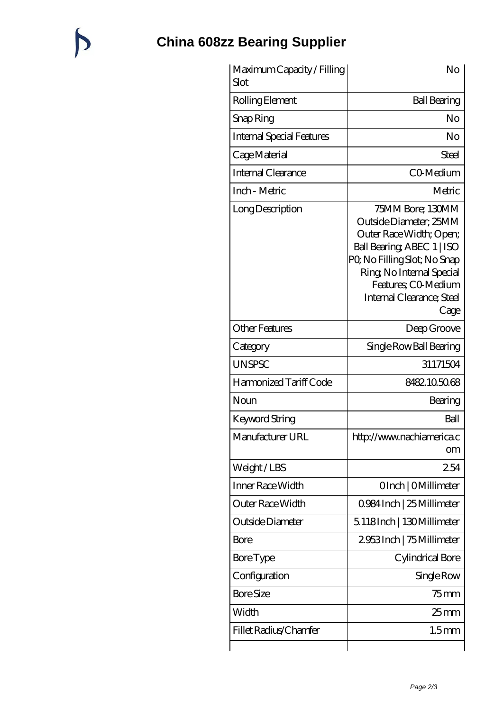## **[China 608zz Bearing Supplier](https://catchios.com)**

 $\bigtriangledown$ 

| Maximum Capacity / Filling<br>Slot | No                                                                                                                                                                                                                         |
|------------------------------------|----------------------------------------------------------------------------------------------------------------------------------------------------------------------------------------------------------------------------|
| Rolling Element                    | <b>Ball Bearing</b>                                                                                                                                                                                                        |
| Snap Ring                          | No                                                                                                                                                                                                                         |
| <b>Internal Special Features</b>   | No                                                                                                                                                                                                                         |
| Cage Material                      | Steel                                                                                                                                                                                                                      |
| Internal Clearance                 | CO-Medium                                                                                                                                                                                                                  |
| Inch - Metric                      | Metric                                                                                                                                                                                                                     |
| Long Description                   | 75MM Bore; 130MM<br>Outside Diameter; 25MM<br>Outer Race Width; Open;<br>Ball Bearing ABEC 1   ISO<br>PQ No Filling Slot; No Snap<br>Ring, No Internal Special<br>Features: CO-Medium<br>Internal Clearance; Steel<br>Cage |
| <b>Other Features</b>              | Deep Groove                                                                                                                                                                                                                |
| Category                           | Single Row Ball Bearing                                                                                                                                                                                                    |
| <b>UNSPSC</b>                      | 31171504                                                                                                                                                                                                                   |
| Harmonized Tariff Code             | 8482.105068                                                                                                                                                                                                                |
| Noun                               | Bearing                                                                                                                                                                                                                    |
| Keyword String                     | Ball                                                                                                                                                                                                                       |
| Manufacturer URL                   | http://www.nachiamerica.c<br><b>om</b>                                                                                                                                                                                     |
| Weight/LBS                         | 254                                                                                                                                                                                                                        |
| Inner Race Width                   | OInch   OMillimeter                                                                                                                                                                                                        |
| Outer Race Width                   | 0984Inch   25 Millimeter                                                                                                                                                                                                   |
| Outside Diameter                   | 5.118Inch   130Millimeter                                                                                                                                                                                                  |
| Bore                               | 2953Inch   75 Millimeter                                                                                                                                                                                                   |
| <b>Bore</b> Type                   | Cylindrical Bore                                                                                                                                                                                                           |
| Configuration                      | Single Row                                                                                                                                                                                                                 |
| <b>Bore Size</b>                   | $75$ mm                                                                                                                                                                                                                    |
| Width                              | $25$ mm                                                                                                                                                                                                                    |
| Fillet Radius/Chamfer              | 1.5 <sub>mm</sub>                                                                                                                                                                                                          |